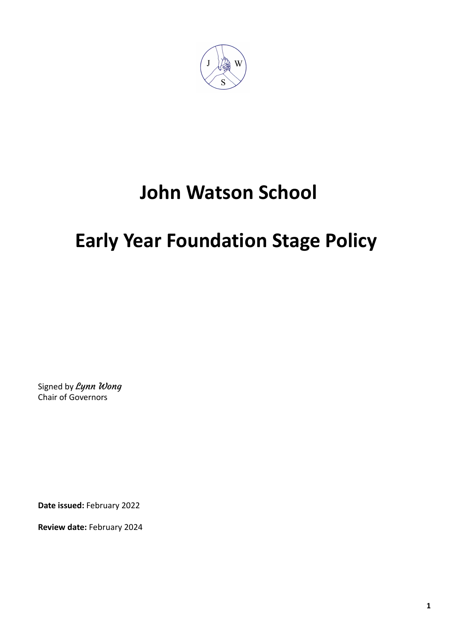

# **John Watson School**

# **Early Year Foundation Stage Policy**

Signed by Lynn Wong Chair of Governors

**Date issued:** February 2022

**Review date:** February 2024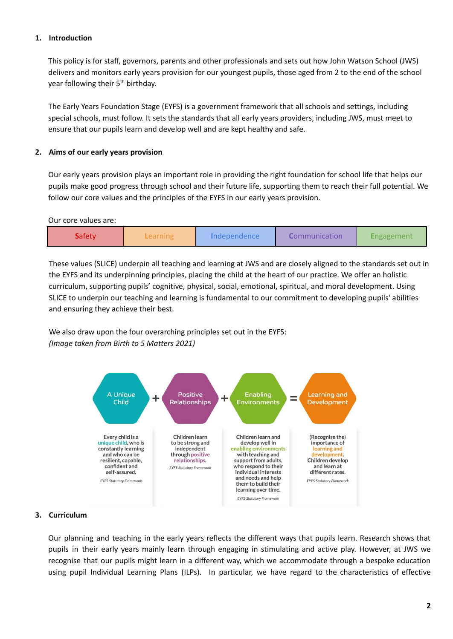## **1. Introduction**

This policy is for staff, governors, parents and other professionals and sets out how John Watson School (JWS) delivers and monitors early years provision for our youngest pupils, those aged from 2 to the end of the school year following their 5<sup>th</sup> birthday.

The Early Years Foundation Stage (EYFS) is a government framework that all schools and settings, including special schools, must follow. It sets the standards that all early years providers, including JWS, must meet to ensure that our pupils learn and develop well and are kept healthy and safe.

#### **2. Aims of our early years provision**

Our early years provision plays an important role in providing the right foundation for school life that helps our pupils make good progress through school and their future life, supporting them to reach their full potential. We follow our core values and the principles of the EYFS in our early years provision.

Our core values are:

|  | <b>Safety</b> | .earning | Independence | <i>Communication</i> | <i><b>Engagement</b></i> |
|--|---------------|----------|--------------|----------------------|--------------------------|
|--|---------------|----------|--------------|----------------------|--------------------------|

These values (SLICE) underpin all teaching and learning at JWS and are closely aligned to the standards set out in the EYFS and its underpinning principles, placing the child at the heart of our practice. We offer an holistic curriculum, supporting pupils' cognitive, physical, social, emotional, spiritual, and moral development. Using SLICE to underpin our teaching and learning is fundamental to our commitment to developing pupils' abilities and ensuring they achieve their best.

We also draw upon the four overarching principles set out in the EYFS: *(Image taken from Birth to 5 Matters 2021)*



#### **3. Curriculum**

Our planning and teaching in the early years reflects the different ways that pupils learn. Research shows that pupils in their early years mainly learn through engaging in stimulating and active play. However, at JWS we recognise that our pupils might learn in a different way, which we accommodate through a bespoke education using pupil Individual Learning Plans (ILPs). In particular, we have regard to the characteristics of effective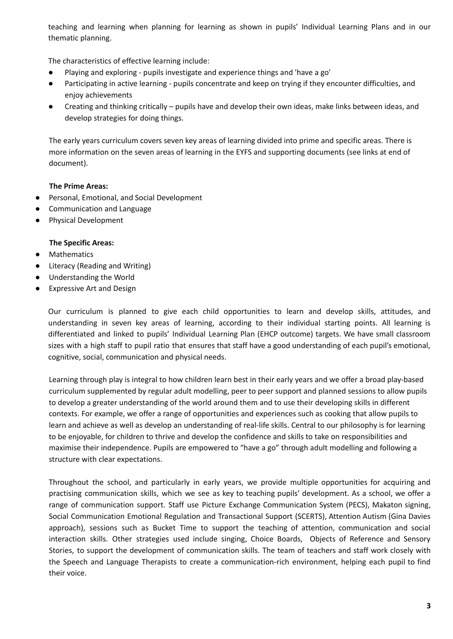teaching and learning when planning for learning as shown in pupils' Individual Learning Plans and in our thematic planning.

The characteristics of effective learning include:

- Playing and exploring pupils investigate and experience things and 'have a go'
- Participating in active learning pupils concentrate and keep on trying if they encounter difficulties, and enjoy achievements
- Creating and thinking critically pupils have and develop their own ideas, make links between ideas, and develop strategies for doing things.

The early years curriculum covers seven key areas of learning divided into prime and specific areas. There is more information on the seven areas of learning in the EYFS and supporting documents (see links at end of document).

## **The Prime Areas:**

- Personal, Emotional, and Social Development
- Communication and Language
- Physical Development

## **The Specific Areas:**

- Mathematics
- Literacy (Reading and Writing)
- Understanding the World
- Expressive Art and Design

Our curriculum is planned to give each child opportunities to learn and develop skills, attitudes, and understanding in seven key areas of learning, according to their individual starting points. All learning is differentiated and linked to pupils' Individual Learning Plan (EHCP outcome) targets. We have small classroom sizes with a high staff to pupil ratio that ensures that staff have a good understanding of each pupil's emotional, cognitive, social, communication and physical needs.

Learning through play is integral to how children learn best in their early years and we offer a broad play-based curriculum supplemented by regular adult modelling, peer to peer support and planned sessions to allow pupils to develop a greater understanding of the world around them and to use their developing skills in different contexts. For example, we offer a range of opportunities and experiences such as cooking that allow pupils to learn and achieve as well as develop an understanding of real-life skills. Central to our philosophy is for learning to be enjoyable, for children to thrive and develop the confidence and skills to take on responsibilities and maximise their independence. Pupils are empowered to "have a go" through adult modelling and following a structure with clear expectations.

Throughout the school, and particularly in early years, we provide multiple opportunities for acquiring and practising communication skills, which we see as key to teaching pupils' development. As a school, we offer a range of communication support. Staff use Picture Exchange Communication System (PECS), Makaton signing, Social Communication Emotional Regulation and Transactional Support (SCERTS), Attention Autism (Gina Davies approach), sessions such as Bucket Time to support the teaching of attention, communication and social interaction skills. Other strategies used include singing, Choice Boards, Objects of Reference and Sensory Stories, to support the development of communication skills. The team of teachers and staff work closely with the Speech and Language Therapists to create a communication-rich environment, helping each pupil to find their voice.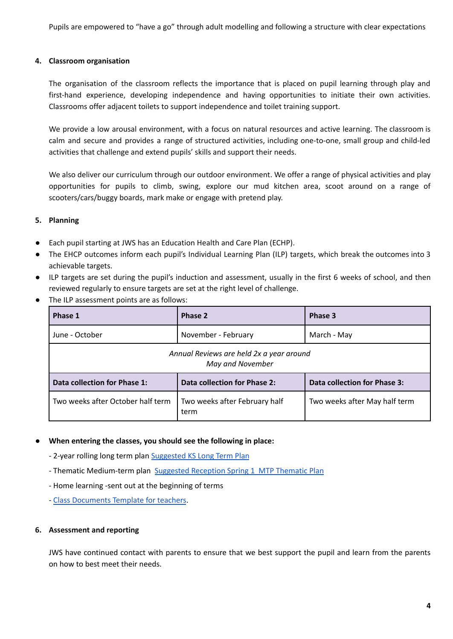Pupils are empowered to "have a go" through adult modelling and following a structure with clear expectations

#### **4. Classroom organisation**

The organisation of the classroom reflects the importance that is placed on pupil learning through play and first-hand experience, developing independence and having opportunities to initiate their own activities. Classrooms offer adjacent toilets to support independence and toilet training support.

We provide a low arousal environment, with a focus on natural resources and active learning. The classroom is calm and secure and provides a range of structured activities, including one-to-one, small group and child-led activities that challenge and extend pupils' skills and support their needs.

We also deliver our curriculum through our outdoor environment. We offer a range of physical activities and play opportunities for pupils to climb, swing, explore our mud kitchen area, scoot around on a range of scooters/cars/buggy boards, mark make or engage with pretend play.

#### **5. Planning**

- Each pupil starting at JWS has an Education Health and Care Plan (ECHP).
- The EHCP outcomes inform each pupil's Individual Learning Plan (ILP) targets, which break the outcomes into 3 achievable targets.
- ILP targets are set during the pupil's induction and assessment, usually in the first 6 weeks of school, and then reviewed regularly to ensure targets are set at the right level of challenge.
- The ILP assessment points are as follows:

| Phase 1                                                      | Phase 2                               | Phase 3                       |  |  |  |
|--------------------------------------------------------------|---------------------------------------|-------------------------------|--|--|--|
| June - October                                               | November - February<br>March - May    |                               |  |  |  |
| Annual Reviews are held 2x a year around<br>May and November |                                       |                               |  |  |  |
| Data collection for Phase 1:                                 | Data collection for Phase 2:          | Data collection for Phase 3:  |  |  |  |
| Two weeks after October half term                            | Two weeks after February half<br>term | Two weeks after May half term |  |  |  |

#### **● When entering the classes, you should see the following in place:**

- 2-year rolling long term plan [Suggested](https://docs.google.com/document/d/1so8d_CQzao8Re2GgTso6wNA8l8OoAJcB3Fl63CWpCFc/edit) KS Long Term Plan

- Thematic Medium-term plan Suggested [Reception](https://docs.google.com/document/d/1FuNpqKc9K-rLStxAtlVsOOx4D8c3vuTGaqJoaSRHi3Q/edit) Spring 1 MTP Thematic Plan
- Home learning -sent out at the beginning of terms
- *-* Class [Documents](https://docs.google.com/document/d/1VTNQbkQqkAZAOxmXSoIfv9FmjspCJH9iR9pW8eTb_8Y/edit) Template for teachers.

#### **6. Assessment and reporting**

JWS have continued contact with parents to ensure that we best support the pupil and learn from the parents on how to best meet their needs.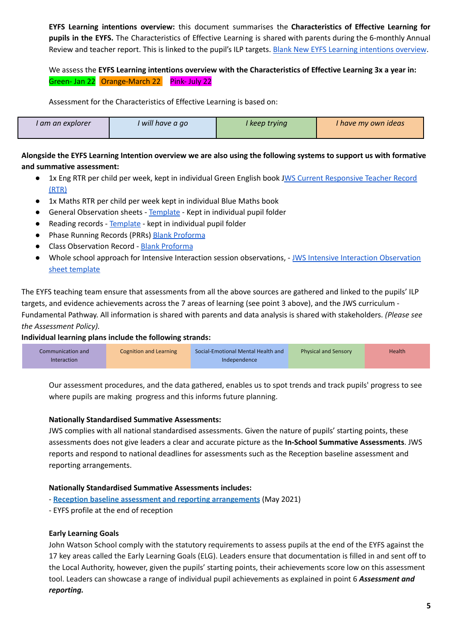**EYFS Learning intentions overview:** this document summarises the **Characteristics of Effective Learning for pupils in the EYFS.** The Characteristics of Effective Learning is shared with parents during the 6-monthly Annual Review and teacher report. This is linked to the pupil's ILP targets. Blank New EYFS Learning [intentions](https://docs.google.com/document/d/1ZwkTzzETednpdgRPromU7NkVKAipwPQZsZtNuciDB-I/edit) overview.

We assess the **EYFS Learning intentions overview with the Characteristics of Effective Learning 3x a year in:** Green- Jan 22 Orange-March 22 Pink- July 22

Assessment for the Characteristics of Effective Learning is based on:

| l am an explorer | will have a go | I keep tryina | I have my own ideas l |
|------------------|----------------|---------------|-----------------------|
|------------------|----------------|---------------|-----------------------|

Alongside the EYFS Learning Intention overview we are also using the following systems to support us with formative **and summative assessment:**

- 1x Eng RTR per child per week, kept in individual Green English book JWS Current [Responsive](https://docs.google.com/document/d/1WfnjS3ui2zAEeS4Ew7a63Nsz2gXXV4B6d2LXSGCpOOM/edit) Teacher Record [\(RTR\)](https://docs.google.com/document/d/1WfnjS3ui2zAEeS4Ew7a63Nsz2gXXV4B6d2LXSGCpOOM/edit)
- 1x Maths RTR per child per week kept in individual Blue Maths book
- General Observation sheets [Template](https://docs.google.com/document/d/1fMbCLIAwDDZlSwHPcAyC1NtIu5SDFZE9Y5OfmPeog-0/edit?usp=sharing) Kept in individual pupil folder
- Reading records [Template](https://docs.google.com/document/d/1d1KBm9rIW9aZyVNfuQBVdX-__rs8iTF8MQUJcUVHpIo/edit?usp=sharing) kept in individual pupil folder
- Phase Running Records (PRRs) Blank [Proforma](https://docs.google.com/document/d/1cAAIX8cZulK_9MjsXxpEgN133LvQP_Y5ZAk1i3sIWqI/edit?usp=sharing)
- Class Observation Record Blank [Proforma](https://docs.google.com/document/d/1KMuAxTEXoxirdtA_AUkoMgcrzynquQhdWDesMPXfHlA/edit?usp=sharing)
- Whole school approach for Intensive Interaction session observations, JWS Intensive Interaction [Observation](https://docs.google.com/document/d/1jXcsG-nd6LQvtAd0Y-6GnapGhCnXIXHVudlS5_v9l7w/edit) sheet [template](https://docs.google.com/document/d/1jXcsG-nd6LQvtAd0Y-6GnapGhCnXIXHVudlS5_v9l7w/edit)

The EYFS teaching team ensure that assessments from all the above sources are gathered and linked to the pupils' ILP targets, and evidence achievements across the 7 areas of learning (see point 3 above), and the JWS curriculum - Fundamental Pathway. All information is shared with parents and data analysis is shared with stakeholders. *(Please see the Assessment Policy).*

## **Individual learning plans include the following strands:**

| Communication and  | Cognition and Learning | Social-Emotional Mental Health and | <b>Physical and Sensory</b> | Health <sup>1</sup> |
|--------------------|------------------------|------------------------------------|-----------------------------|---------------------|
| <b>Interaction</b> |                        | Independence                       |                             |                     |

Our assessment procedures, and the data gathered, enables us to spot trends and track pupils' progress to see where pupils are making progress and this informs future planning.

## **Nationally Standardised Summative Assessments:**

JWS complies with all national standardised assessments. Given the nature of pupils' starting points, these assessments does not give leaders a clear and accurate picture as the **In-School Summative Assessments**. JWS reports and respond to national deadlines for assessments such as the Reception baseline assessment and reporting arrangements.

## **Nationally Standardised Summative Assessments includes:**

- **Reception baseline assessment and reporting [arrangements](https://assets.publishing.service.gov.uk/government/uploads/system/uploads/attachment_data/file/1018000/Reception_baseline_assessment_and_reporting_arrangements_v3.pdf)** (May 2021)

- EYFS profile at the end of reception

## **Early Learning Goals**

John Watson School comply with the statutory requirements to assess pupils at the end of the EYFS against the 17 key areas called the Early Learning Goals (ELG). Leaders ensure that documentation is filled in and sent off to the Local Authority, however, given the pupils' starting points, their achievements score low on this assessment tool. Leaders can showcase a range of individual pupil achievements as explained in point 6 *Assessment and reporting.*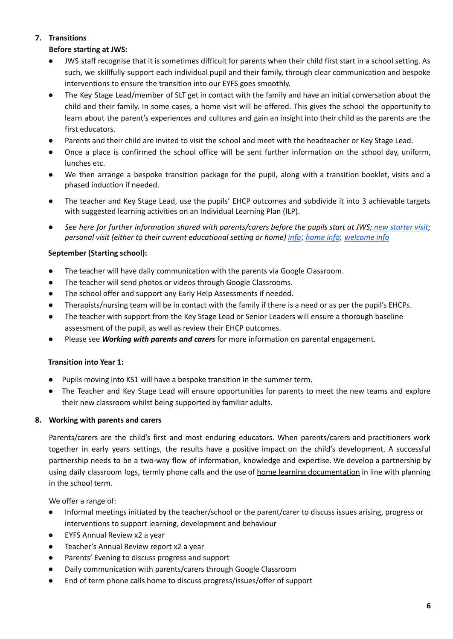# **7. Transitions**

# **Before starting at JWS:**

- JWS staff recognise that it is sometimes difficult for parents when their child first start in a school setting. As such, we skillfully support each individual pupil and their family, through clear communication and bespoke interventions to ensure the transition into our EYFS goes smoothly.
- The Key Stage Lead/member of SLT get in contact with the family and have an initial conversation about the child and their family. In some cases, a home visit will be offered. This gives the school the opportunity to learn about the parent's experiences and cultures and gain an insight into their child as the parents are the first educators.
- Parents and their child are invited to visit the school and meet with the headteacher or Key Stage Lead.
- Once a place is confirmed the school office will be sent further information on the school day, uniform, lunches etc.
- We then arrange a bespoke transition package for the pupil, along with a transition booklet, visits and a phased induction if needed.
- The teacher and Key Stage Lead, use the pupils' EHCP outcomes and subdivide it into 3 achievable targets with suggested learning activities on an Individual Learning Plan (ILP).
- See here for further information shared with parents/carers before the pupils start at JWS; new [starter](https://docs.google.com/document/d/1j9EXl4bmKp-XeI68LDa1aigHqOuKNJB1ABlYhbCFYEk/edit) visit; *personal visit (either to their current educational setting or home) [info](https://docs.google.com/document/d/15Z84Beuq8QybeeKen-N94W_0pv9gGsvMJnvbHwCsVZE/edit)*; *[home](https://docs.google.com/document/d/1OUTAnaAGGE8g0XAba7DvE-VfwktSYpqI3nvMP9m4uGE/edit) info*; *[welcome](https://docs.google.com/document/d/1LwYjF2AHPV6snP1ldpVtAUdkvJfRrcgEgTC9_N5meLk/edit) info*

## **September (Starting school):**

- The teacher will have daily communication with the parents via Google Classroom.
- The teacher will send photos or videos through Google Classrooms.
- The school offer and support any Early Help Assessments if needed.
- Therapists/nursing team will be in contact with the family if there is a need or as per the pupil's EHCPs.
- The teacher with support from the Key Stage Lead or Senior Leaders will ensure a thorough baseline assessment of the pupil, as well as review their EHCP outcomes.
- Please see *Working with parents and carers* for more information on parental engagement.

## **Transition into Year 1:**

- Pupils moving into KS1 will have a bespoke transition in the summer term.
- The Teacher and Key Stage Lead will ensure opportunities for parents to meet the new teams and explore their new classroom whilst being supported by familiar adults.

## **8. Working with parents and carers**

Parents/carers are the child's first and most enduring educators. When parents/carers and practitioners work together in early years settings, the results have a positive impact on the child's development. A successful partnership needs to be a two-way flow of information, knowledge and expertise. We develop a partnership by using daily classroom logs, termly phone calls and the use of home learning [documentation](https://docs.google.com/document/d/1GqE6F5nLZk0cndYwfBM5RsLEPmmRJqdSF9rlxycG8T4/edit) in line with planning in the school term.

We offer a range of:

- Informal meetings initiated by the teacher/school or the parent/carer to discuss issues arising, progress or interventions to support learning, development and behaviour
- EYFS Annual Review x2 a year
- Teacher's Annual Review report x2 a year
- Parents' Evening to discuss progress and support
- Daily communication with parents/carers through Google Classroom
- End of term phone calls home to discuss progress/issues/offer of support